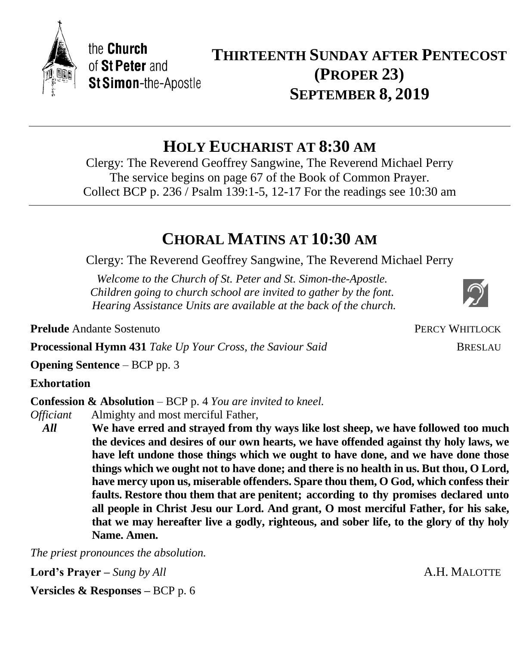**HOLY EUCHARIST AT 8:30 AM**

Clergy: The Reverend Geoffrey Sangwine, The Reverend Michael Perry The service begins on page 67 of the Book of Common Prayer. Collect BCP p. 236 / Psalm 139:1-5, 12-17 For the readings see 10:30 am

## **CHORAL MATINS AT 10:30 AM**

Clergy: The Reverend Geoffrey Sangwine, The Reverend Michael Perry

*Welcome to the Church of St. Peter and St. Simon-the-Apostle. Children going to church school are invited to gather by the font. Hearing Assistance Units are available at the back of the church.*

**Prelude** Andante Sostenuto

**Processional Hymn 431** *Take Up Your Cross, the Saviour Said* BRESLAU

**Opening Sentence** – BCP pp. 3

the Church of St Peter and

**St Simon-the-Apostle** 

## **Exhortation**

**Confession & Absolution** – BCP p. 4 *You are invited to kneel.*

*Officiant* Almighty and most merciful Father,

*All* **We have erred and strayed from thy ways like lost sheep, we have followed too much the devices and desires of our own hearts, we have offended against thy holy laws, we have left undone those things which we ought to have done, and we have done those things which we ought not to have done; and there is no health in us. But thou, O Lord, have mercy upon us, miserable offenders. Spare thou them, O God, which confess their faults. Restore thou them that are penitent; according to thy promises declared unto all people in Christ Jesu our Lord. And grant, O most merciful Father, for his sake, that we may hereafter live a godly, righteous, and sober life, to the glory of thy holy Name. Amen.**

*The priest pronounces the absolution.*

**Lord's Prayer** – *Sung by All* **A.H. MALOTTE** 

**Versicles & Responses –** BCP p. 6

**THIRTEENTH SUNDAY AFTER PENTECOST (PROPER 23) SEPTEMBER 8, 2019**



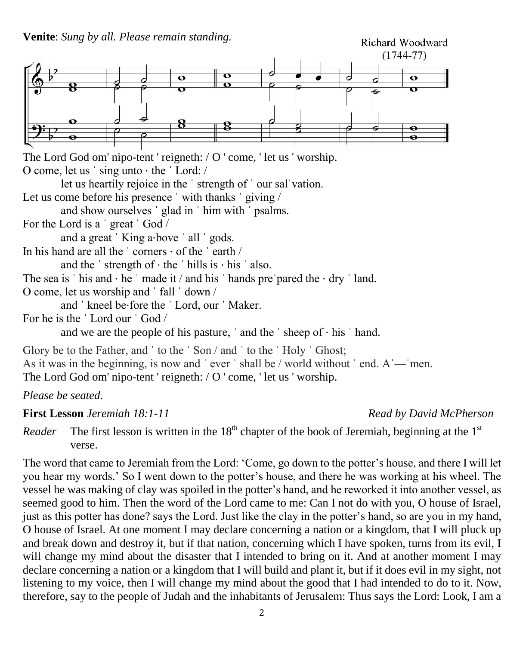

The Lord God om' nipo-tent ' reigneth: / O ' come, ' let us ' worship. O come, let us ˈ sing unto ⋅ the ˈ Lord: /

let us heartily rejoice in the ˈ strength of ˈ our salˈvation.

Let us come before his presence ' with thanks ' giving /

and show ourselves ˈ glad in ˈ him with ˈ psalms.

For the Lord is a ˈ great ˈ God /

and a great 'King a⋅bove ' all ' gods.

In his hand are all the  $\cdot$  corners  $\cdot$  of the  $\cdot$  earth  $\prime$ 

and the ' strength of  $\cdot$  the ' hills is  $\cdot$  his ' also.

The sea is  $'$  his and  $\cdot$  he  $'$  made it  $/$  and his  $'$  hands pre $'$ pared the  $\cdot$  dry  $'$  land.

O come, let us worship and ˈ fall ˈ down /

and ˈ kneel be⋅fore the ˈ Lord, our ˈ Maker.

For he is the ˈ Lord our ˈ God /

and we are the people of his pasture,  $\dot{\ }$  and the  $\dot{\ }$  sheep of  $\dot{\ }$  his  $\dot{\ }$  hand.

Glory be to the Father, and ' to the ' Son / and ' to the ' Holy ' Ghost; As it was in the beginning, is now and 'ever 'shall be / world without 'end. A — men. The Lord God om' nipo-tent ' reigneth: / O ' come, ' let us ' worship.

*Please be seated.*

## **First Lesson** *Jeremiah 18:1-11 Read by David McPherson*

*Reader* The first lesson is written in the  $18<sup>th</sup>$  chapter of the book of Jeremiah, beginning at the  $1<sup>st</sup>$ verse.

The word that came to Jeremiah from the Lord: 'Come, go down to the potter's house, and there I will let you hear my words.' So I went down to the potter's house, and there he was working at his wheel. The vessel he was making of clay was spoiled in the potter's hand, and he reworked it into another vessel, as seemed good to him. Then the word of the Lord came to me: Can I not do with you, O house of Israel, just as this potter has done? says the Lord. Just like the clay in the potter's hand, so are you in my hand, O house of Israel. At one moment I may declare concerning a nation or a kingdom, that I will pluck up and break down and destroy it, but if that nation, concerning which I have spoken, turns from its evil, I will change my mind about the disaster that I intended to bring on it. And at another moment I may declare concerning a nation or a kingdom that I will build and plant it, but if it does evil in my sight, not listening to my voice, then I will change my mind about the good that I had intended to do to it. Now, therefore, say to the people of Judah and the inhabitants of Jerusalem: Thus says the Lord: Look, I am a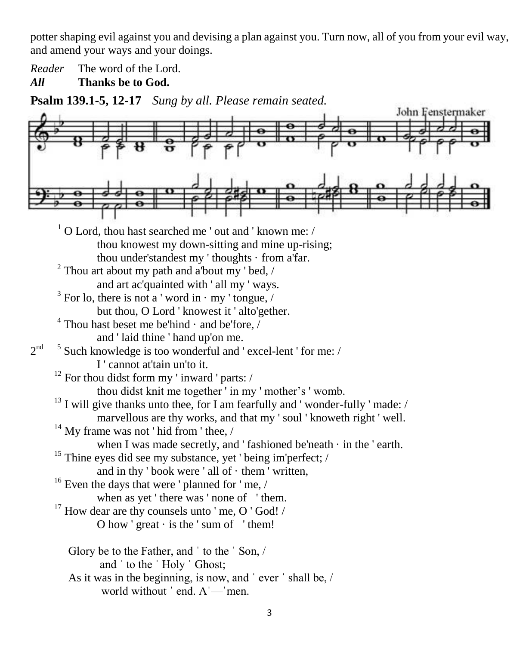potter shaping evil against you and devising a plan against you. Turn now, all of you from your evil way, and amend your ways and your doings.

*Reader* The word of the Lord.

*All* **Thanks be to God.**

**Psalm 139.1-5, 12-17** *Sung by all. Please remain seated.*

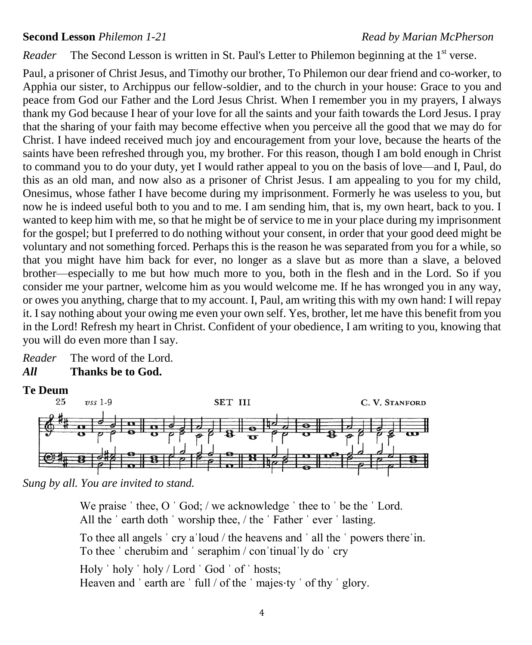### **Second Lesson** *Philemon 1-21 Read by Marian McPherson*

Reader The Second Lesson is written in St. Paul's Letter to Philemon beginning at the 1<sup>st</sup> verse.

Paul, a prisoner of Christ Jesus, and Timothy our brother, To Philemon our dear friend and co-worker, to Apphia our sister, to Archippus our fellow-soldier, and to the church in your house: Grace to you and peace from God our Father and the Lord Jesus Christ. When I remember you in my prayers, I always thank my God because I hear of your love for all the saints and your faith towards the Lord Jesus. I pray that the sharing of your faith may become effective when you perceive all the good that we may do for Christ. I have indeed received much joy and encouragement from your love, because the hearts of the saints have been refreshed through you, my brother. For this reason, though I am bold enough in Christ to command you to do your duty, yet I would rather appeal to you on the basis of love—and I, Paul, do this as an old man, and now also as a prisoner of Christ Jesus. I am appealing to you for my child, Onesimus, whose father I have become during my imprisonment. Formerly he was useless to you, but now he is indeed useful both to you and to me. I am sending him, that is, my own heart, back to you. I wanted to keep him with me, so that he might be of service to me in your place during my imprisonment for the gospel; but I preferred to do nothing without your consent, in order that your good deed might be voluntary and not something forced. Perhaps this is the reason he was separated from you for a while, so that you might have him back for ever, no longer as a slave but as more than a slave, a beloved brother—especially to me but how much more to you, both in the flesh and in the Lord. So if you consider me your partner, welcome him as you would welcome me. If he has wronged you in any way, or owes you anything, charge that to my account. I, Paul, am writing this with my own hand: I will repay it. I say nothing about your owing me even your own self. Yes, brother, let me have this benefit from you in the Lord! Refresh my heart in Christ. Confident of your obedience, I am writing to you, knowing that you will do even more than I say.

*Reader* The word of the Lord. *All* **Thanks be to God.**

# **Te Deum**



*Sung by all. You are invited to stand.*

We praise 'thee, O 'God; / we acknowledge 'thee to 'be the 'Lord. All the 'earth doth 'worship thee, / the 'Father 'ever 'lasting. To thee all angels ˈ cry aˈloud / the heavens and ˈ all the ˈ powers thereˈin. To thee ˈ cherubim and ˈ seraphim / conˈtinualˈly do ˈ cry Holy ˈ holy ˈ holy / Lord ˈ God ˈ of ˈ hosts; Heaven and 'earth are ' full / of the ' majes⋅ty ' of thy ' glory.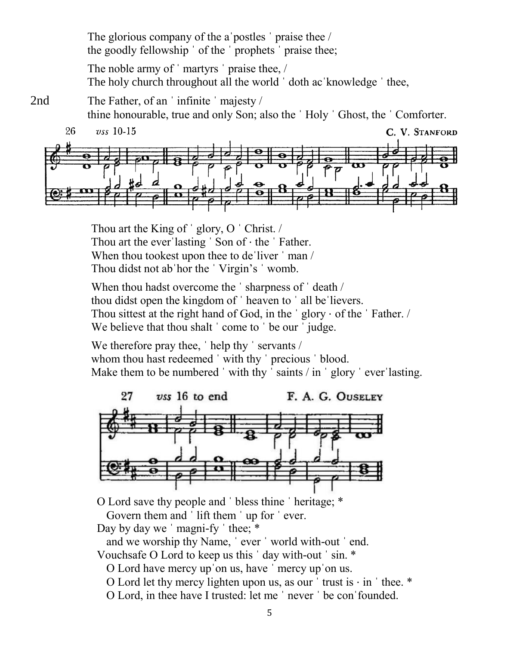The glorious company of the a postles ' praise thee / the goodly fellowship ˈ of the ˈ prophets ˈ praise thee;

The noble army of 'martyrs' praise thee, / The holy church throughout all the world 'doth ac 'knowledge ' thee,

- 2nd The Father, of an 'infinite 'majesty / thine honourable, true and only Son; also the ˈ Holy ˈ Ghost, the ˈ Comforter.
	- 26  $\upsilon$ ss 10-15 C. V. STANFORD

Thou art the King of 'glory, O 'Christ. / Thou art the ever lasting 'Son of  $\cdot$  the 'Father. When thou tookest upon thee to de liver  $\cdot$  man / Thou didst not abˈhor the ˈ Virgin's ˈ womb.

When thou hadst overcome the 'sharpness of 'death / thou didst open the kingdom of ˈ heaven to ˈ all beˈlievers. Thou sittest at the right hand of God, in the ˈ glory ⋅ of the ˈ Father. / We believe that thou shalt ' come to ' be our ' judge.

We therefore pray thee, 'help thy ' servants / whom thou hast redeemed 'with thy ' precious ' blood. Make them to be numbered 'with thy 'saints / in 'glory 'ever'lasting.



O Lord save thy people and ˈ bless thine ˈ heritage; \*

Govern them and 'lift them ' up for ' ever.

Day by day we ' magni-fy ' thee;  $*$ 

and we worship thy Name, ˈ ever ˈ world with-out ˈ end.

- Vouchsafe O Lord to keep us this ˈ day with-out ˈ sin. \*
	- O Lord have mercy upˈon us, have ˈ mercy upˈon us.
	- O Lord let thy mercy lighten upon us, as our  $'$  trust is  $\cdot$  in  $'$  thee.  $*$
	- O Lord, in thee have I trusted: let me ˈ never ˈ be conˈfounded.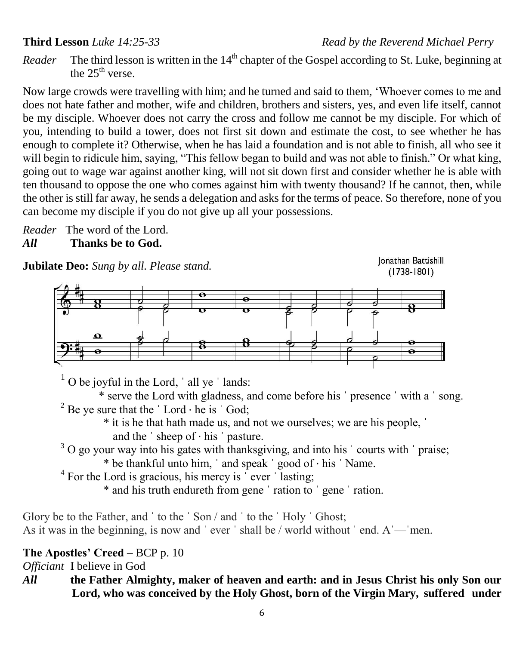## **Third Lesson** *Luke 14:25-33 Read by the Reverend Michael Perry*

*Reader* The third lesson is written in the 14<sup>th</sup> chapter of the Gospel according to St. Luke, beginning at the  $25^{\text{th}}$  verse.

Now large crowds were travelling with him; and he turned and said to them, 'Whoever comes to me and does not hate father and mother, wife and children, brothers and sisters, yes, and even life itself, cannot be my disciple. Whoever does not carry the cross and follow me cannot be my disciple. For which of you, intending to build a tower, does not first sit down and estimate the cost, to see whether he has enough to complete it? Otherwise, when he has laid a foundation and is not able to finish, all who see it will begin to ridicule him, saying, "This fellow began to build and was not able to finish." Or what king, going out to wage war against another king, will not sit down first and consider whether he is able with ten thousand to oppose the one who comes against him with twenty thousand? If he cannot, then, while the other is still far away, he sends a delegation and asks for the terms of peace. So therefore, none of you can become my disciple if you do not give up all your possessions.

*Reader* The word of the Lord. *All* **Thanks be to God.**

**Jubilate Deo:** *Sung by all. Please stand.*

Jonathan Battishill  $(1738 - 1801)$ 



 $1$  O be joyful in the Lord,  $\dot{\ }$  all ye  $\dot{\ }$  lands:

\* serve the Lord with gladness, and come before his ˈ presence ˈ with a ˈ song. <sup>2</sup> Be ye sure that the  $\dot{\;}$  Lord  $\cdot$  he is  $\dot{\;}$  God;

\* it is he that hath made us, and not we ourselves; we are his people, ˈ and the  $\dot{\ }$  sheep of  $\cdot$  his  $\dot{\ }$  pasture.

<sup>3</sup> O go your way into his gates with thanksgiving, and into his ' courts with ' praise;

\* be thankful unto him, ˈ and speak ˈ good of ⋅ his ˈ Name.

<sup>4</sup> For the Lord is gracious, his mercy is  $\degree$  ever  $\degree$  lasting;

\* and his truth endureth from gene ˈ ration to ˈ gene ˈ ration.

Glory be to the Father, and ' to the ' Son / and ' to the ' Holy ' Ghost; As it was in the beginning, is now and 'ever ' shall be / world without ' end.  $A'$  — men.

## **The Apostles' Creed –** BCP p. 10

*Officiant* I believe in God

*All* **the Father Almighty, maker of heaven and earth: and in Jesus Christ his only Son our Lord, who was conceived by the Holy Ghost, born of the Virgin Mary, suffered under**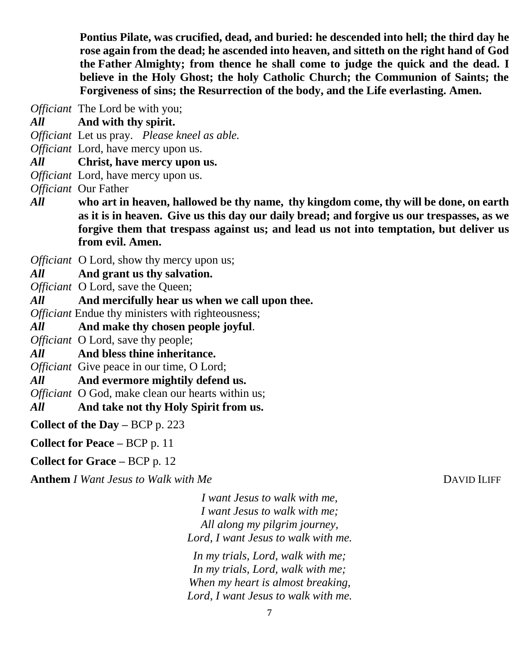**Pontius Pilate, was crucified, dead, and buried: he descended into hell; the third day he rose again from the dead; he ascended into heaven, and sitteth on the right hand of God the Father Almighty; from thence he shall come to judge the quick and the dead. I believe in the Holy Ghost; the holy Catholic Church; the Communion of Saints; the Forgiveness of sins; the Resurrection of the body, and the Life everlasting. Amen.**

*Officiant* The Lord be with you;

*All* **And with thy spirit.**

*Officiant* Let us pray. *Please kneel as able.*

*Officiant* Lord, have mercy upon us.

*All* **Christ, have mercy upon us.**

*Officiant* Lord, have mercy upon us.

*Officiant* Our Father

*All* **who art in heaven, hallowed be thy name, thy kingdom come, thy will be done, on earth as it is in heaven. Give us this day our daily bread; and forgive us our trespasses, as we forgive them that trespass against us; and lead us not into temptation, but deliver us from evil. Amen.**

*Officiant* O Lord, show thy mercy upon us;

*All* **And grant us thy salvation.**

*Officiant* O Lord, save the Queen;

*All* **And mercifully hear us when we call upon thee.**

*Officiant* Endue thy ministers with righteousness;

*All* **And make thy chosen people joyful**.

*Officiant* **O** Lord, save thy people;

*All* **And bless thine inheritance.**

*Officiant* Give peace in our time, O Lord;

*All* **And evermore mightily defend us.**

*Officiant* O God, make clean our hearts within us;

*All* **And take not thy Holy Spirit from us.**

**Collect of the Day –** BCP p. 223

**Collect for Peace –** BCP p. 11

**Collect for Grace –** BCP p. 12

**Anthem** *I Want Jesus to Walk with Me* **DAVID ILIFF** 

*I want Jesus to walk with me, I want Jesus to walk with me; All along my pilgrim journey, Lord, I want Jesus to walk with me.*

*In my trials, Lord, walk with me; In my trials, Lord, walk with me; When my heart is almost breaking, Lord, I want Jesus to walk with me.*